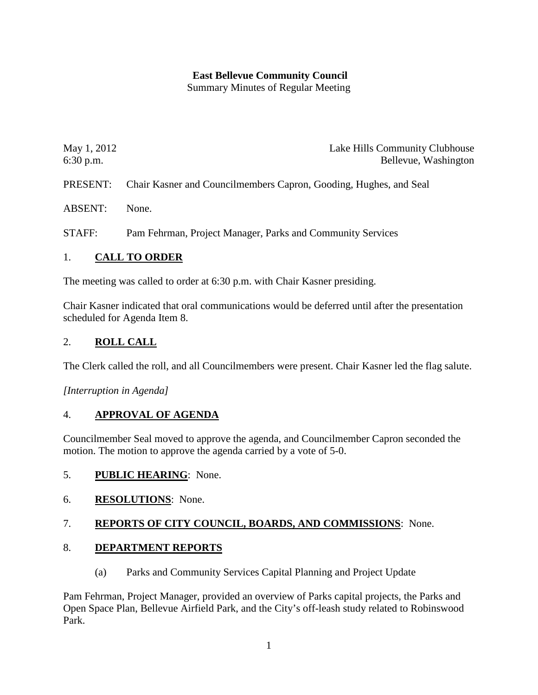## **East Bellevue Community Council**

Summary Minutes of Regular Meeting

| May 1, 2012<br>$6:30$ p.m. | Lake Hills Community Clubhouse<br>Bellevue, Washington            |
|----------------------------|-------------------------------------------------------------------|
| PRESENT:                   | Chair Kasner and Councilmembers Capron, Gooding, Hughes, and Seal |
| <b>ABSENT:</b>             | None.                                                             |
| STAFF:                     | Pam Fehrman, Project Manager, Parks and Community Services        |

### 1. **CALL TO ORDER**

The meeting was called to order at 6:30 p.m. with Chair Kasner presiding.

Chair Kasner indicated that oral communications would be deferred until after the presentation scheduled for Agenda Item 8.

## 2. **ROLL CALL**

The Clerk called the roll, and all Councilmembers were present. Chair Kasner led the flag salute.

*[Interruption in Agenda]*

### 4. **APPROVAL OF AGENDA**

Councilmember Seal moved to approve the agenda, and Councilmember Capron seconded the motion. The motion to approve the agenda carried by a vote of 5-0.

### 5. **PUBLIC HEARING**: None.

6. **RESOLUTIONS**: None.

### 7. **REPORTS OF CITY COUNCIL, BOARDS, AND COMMISSIONS**: None.

### 8. **DEPARTMENT REPORTS**

(a) Parks and Community Services Capital Planning and Project Update

Pam Fehrman, Project Manager, provided an overview of Parks capital projects, the Parks and Open Space Plan, Bellevue Airfield Park, and the City's off-leash study related to Robinswood Park.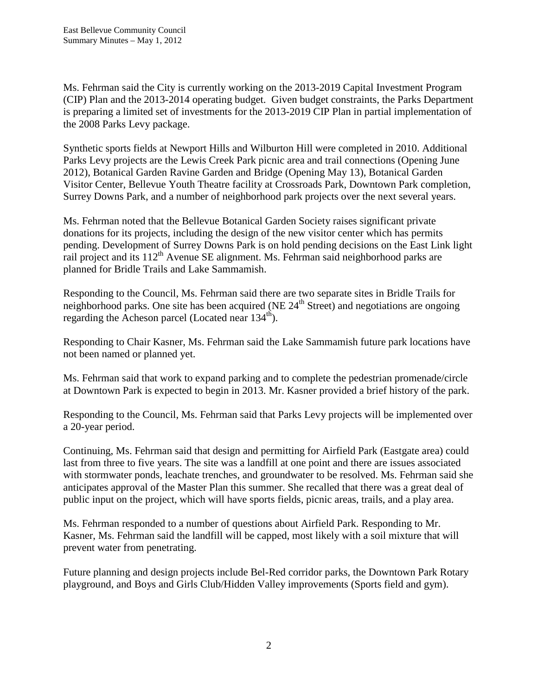Ms. Fehrman said the City is currently working on the 2013-2019 Capital Investment Program (CIP) Plan and the 2013-2014 operating budget. Given budget constraints, the Parks Department is preparing a limited set of investments for the 2013-2019 CIP Plan in partial implementation of the 2008 Parks Levy package.

Synthetic sports fields at Newport Hills and Wilburton Hill were completed in 2010. Additional Parks Levy projects are the Lewis Creek Park picnic area and trail connections (Opening June 2012), Botanical Garden Ravine Garden and Bridge (Opening May 13), Botanical Garden Visitor Center, Bellevue Youth Theatre facility at Crossroads Park, Downtown Park completion, Surrey Downs Park, and a number of neighborhood park projects over the next several years.

Ms. Fehrman noted that the Bellevue Botanical Garden Society raises significant private donations for its projects, including the design of the new visitor center which has permits pending. Development of Surrey Downs Park is on hold pending decisions on the East Link light rail project and its  $112<sup>th</sup>$  Avenue SE alignment. Ms. Fehrman said neighborhood parks are planned for Bridle Trails and Lake Sammamish.

Responding to the Council, Ms. Fehrman said there are two separate sites in Bridle Trails for neighborhood parks. One site has been acquired (NE  $24<sup>th</sup>$  Street) and negotiations are ongoing regarding the Acheson parcel (Located near  $134<sup>th</sup>$ ).

Responding to Chair Kasner, Ms. Fehrman said the Lake Sammamish future park locations have not been named or planned yet.

Ms. Fehrman said that work to expand parking and to complete the pedestrian promenade/circle at Downtown Park is expected to begin in 2013. Mr. Kasner provided a brief history of the park.

Responding to the Council, Ms. Fehrman said that Parks Levy projects will be implemented over a 20-year period.

Continuing, Ms. Fehrman said that design and permitting for Airfield Park (Eastgate area) could last from three to five years. The site was a landfill at one point and there are issues associated with stormwater ponds, leachate trenches, and groundwater to be resolved. Ms. Fehrman said she anticipates approval of the Master Plan this summer. She recalled that there was a great deal of public input on the project, which will have sports fields, picnic areas, trails, and a play area.

Ms. Fehrman responded to a number of questions about Airfield Park. Responding to Mr. Kasner, Ms. Fehrman said the landfill will be capped, most likely with a soil mixture that will prevent water from penetrating.

Future planning and design projects include Bel-Red corridor parks, the Downtown Park Rotary playground, and Boys and Girls Club/Hidden Valley improvements (Sports field and gym).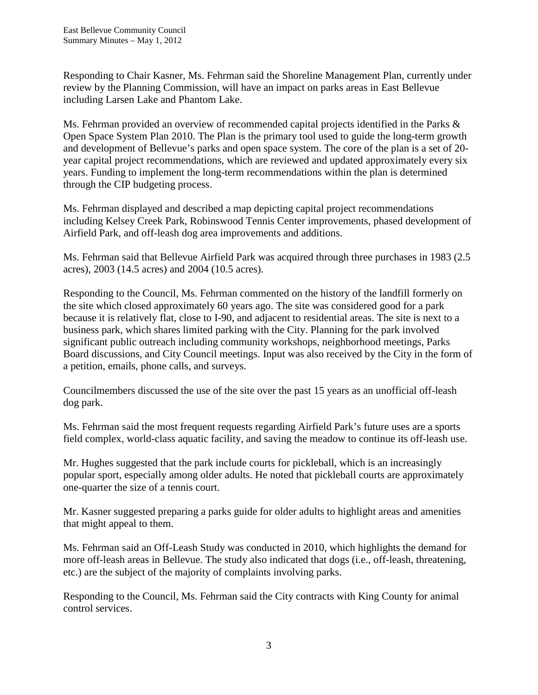Responding to Chair Kasner, Ms. Fehrman said the Shoreline Management Plan, currently under review by the Planning Commission, will have an impact on parks areas in East Bellevue including Larsen Lake and Phantom Lake.

Ms. Fehrman provided an overview of recommended capital projects identified in the Parks & Open Space System Plan 2010. The Plan is the primary tool used to guide the long-term growth and development of Bellevue's parks and open space system. The core of the plan is a set of 20 year capital project recommendations, which are reviewed and updated approximately every six years. Funding to implement the long-term recommendations within the plan is determined through the CIP budgeting process.

Ms. Fehrman displayed and described a map depicting capital project recommendations including Kelsey Creek Park, Robinswood Tennis Center improvements, phased development of Airfield Park, and off-leash dog area improvements and additions.

Ms. Fehrman said that Bellevue Airfield Park was acquired through three purchases in 1983 (2.5 acres), 2003 (14.5 acres) and 2004 (10.5 acres).

Responding to the Council, Ms. Fehrman commented on the history of the landfill formerly on the site which closed approximately 60 years ago. The site was considered good for a park because it is relatively flat, close to I-90, and adjacent to residential areas. The site is next to a business park, which shares limited parking with the City. Planning for the park involved significant public outreach including community workshops, neighborhood meetings, Parks Board discussions, and City Council meetings. Input was also received by the City in the form of a petition, emails, phone calls, and surveys.

Councilmembers discussed the use of the site over the past 15 years as an unofficial off-leash dog park.

Ms. Fehrman said the most frequent requests regarding Airfield Park's future uses are a sports field complex, world-class aquatic facility, and saving the meadow to continue its off-leash use.

Mr. Hughes suggested that the park include courts for pickleball, which is an increasingly popular sport, especially among older adults. He noted that pickleball courts are approximately one-quarter the size of a tennis court.

Mr. Kasner suggested preparing a parks guide for older adults to highlight areas and amenities that might appeal to them.

Ms. Fehrman said an Off-Leash Study was conducted in 2010, which highlights the demand for more off-leash areas in Bellevue. The study also indicated that dogs (i.e., off-leash, threatening, etc.) are the subject of the majority of complaints involving parks.

Responding to the Council, Ms. Fehrman said the City contracts with King County for animal control services.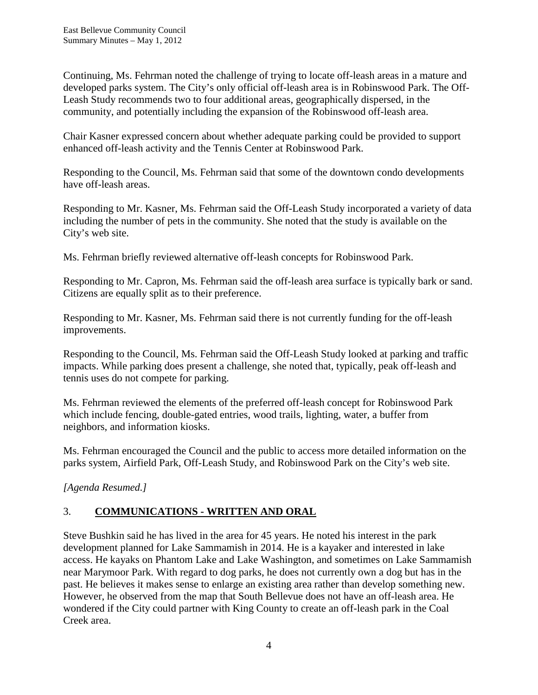Continuing, Ms. Fehrman noted the challenge of trying to locate off-leash areas in a mature and developed parks system. The City's only official off-leash area is in Robinswood Park. The Off-Leash Study recommends two to four additional areas, geographically dispersed, in the community, and potentially including the expansion of the Robinswood off-leash area.

Chair Kasner expressed concern about whether adequate parking could be provided to support enhanced off-leash activity and the Tennis Center at Robinswood Park.

Responding to the Council, Ms. Fehrman said that some of the downtown condo developments have off-leash areas.

Responding to Mr. Kasner, Ms. Fehrman said the Off-Leash Study incorporated a variety of data including the number of pets in the community. She noted that the study is available on the City's web site.

Ms. Fehrman briefly reviewed alternative off-leash concepts for Robinswood Park.

Responding to Mr. Capron, Ms. Fehrman said the off-leash area surface is typically bark or sand. Citizens are equally split as to their preference.

Responding to Mr. Kasner, Ms. Fehrman said there is not currently funding for the off-leash improvements.

Responding to the Council, Ms. Fehrman said the Off-Leash Study looked at parking and traffic impacts. While parking does present a challenge, she noted that, typically, peak off-leash and tennis uses do not compete for parking.

Ms. Fehrman reviewed the elements of the preferred off-leash concept for Robinswood Park which include fencing, double-gated entries, wood trails, lighting, water, a buffer from neighbors, and information kiosks.

Ms. Fehrman encouraged the Council and the public to access more detailed information on the parks system, Airfield Park, Off-Leash Study, and Robinswood Park on the City's web site.

*[Agenda Resumed.]*

# 3. **COMMUNICATIONS - WRITTEN AND ORAL**

Steve Bushkin said he has lived in the area for 45 years. He noted his interest in the park development planned for Lake Sammamish in 2014. He is a kayaker and interested in lake access. He kayaks on Phantom Lake and Lake Washington, and sometimes on Lake Sammamish near Marymoor Park. With regard to dog parks, he does not currently own a dog but has in the past. He believes it makes sense to enlarge an existing area rather than develop something new. However, he observed from the map that South Bellevue does not have an off-leash area. He wondered if the City could partner with King County to create an off-leash park in the Coal Creek area.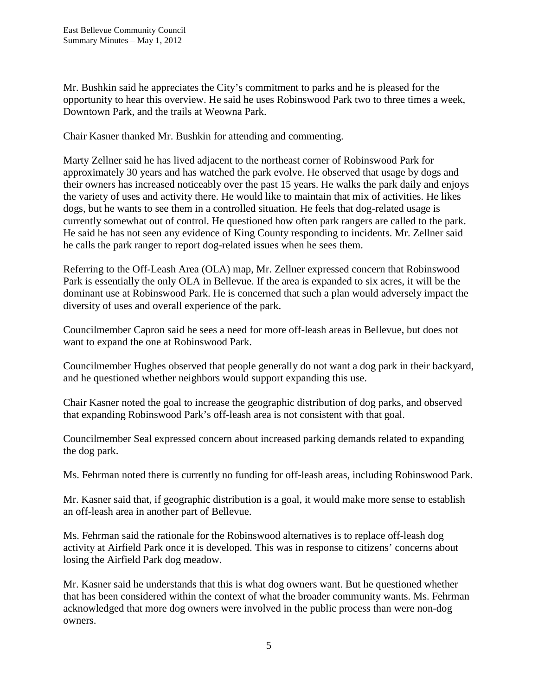Mr. Bushkin said he appreciates the City's commitment to parks and he is pleased for the opportunity to hear this overview. He said he uses Robinswood Park two to three times a week, Downtown Park, and the trails at Weowna Park.

Chair Kasner thanked Mr. Bushkin for attending and commenting.

Marty Zellner said he has lived adjacent to the northeast corner of Robinswood Park for approximately 30 years and has watched the park evolve. He observed that usage by dogs and their owners has increased noticeably over the past 15 years. He walks the park daily and enjoys the variety of uses and activity there. He would like to maintain that mix of activities. He likes dogs, but he wants to see them in a controlled situation. He feels that dog-related usage is currently somewhat out of control. He questioned how often park rangers are called to the park. He said he has not seen any evidence of King County responding to incidents. Mr. Zellner said he calls the park ranger to report dog-related issues when he sees them.

Referring to the Off-Leash Area (OLA) map, Mr. Zellner expressed concern that Robinswood Park is essentially the only OLA in Bellevue. If the area is expanded to six acres, it will be the dominant use at Robinswood Park. He is concerned that such a plan would adversely impact the diversity of uses and overall experience of the park.

Councilmember Capron said he sees a need for more off-leash areas in Bellevue, but does not want to expand the one at Robinswood Park.

Councilmember Hughes observed that people generally do not want a dog park in their backyard, and he questioned whether neighbors would support expanding this use.

Chair Kasner noted the goal to increase the geographic distribution of dog parks, and observed that expanding Robinswood Park's off-leash area is not consistent with that goal.

Councilmember Seal expressed concern about increased parking demands related to expanding the dog park.

Ms. Fehrman noted there is currently no funding for off-leash areas, including Robinswood Park.

Mr. Kasner said that, if geographic distribution is a goal, it would make more sense to establish an off-leash area in another part of Bellevue.

Ms. Fehrman said the rationale for the Robinswood alternatives is to replace off-leash dog activity at Airfield Park once it is developed. This was in response to citizens' concerns about losing the Airfield Park dog meadow.

Mr. Kasner said he understands that this is what dog owners want. But he questioned whether that has been considered within the context of what the broader community wants. Ms. Fehrman acknowledged that more dog owners were involved in the public process than were non-dog owners.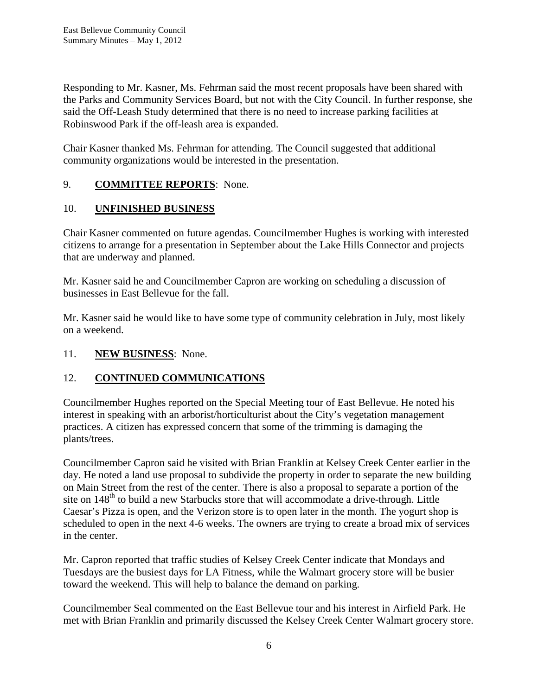Responding to Mr. Kasner, Ms. Fehrman said the most recent proposals have been shared with the Parks and Community Services Board, but not with the City Council. In further response, she said the Off-Leash Study determined that there is no need to increase parking facilities at Robinswood Park if the off-leash area is expanded.

Chair Kasner thanked Ms. Fehrman for attending. The Council suggested that additional community organizations would be interested in the presentation.

## 9. **COMMITTEE REPORTS**: None.

## 10. **UNFINISHED BUSINESS**

Chair Kasner commented on future agendas. Councilmember Hughes is working with interested citizens to arrange for a presentation in September about the Lake Hills Connector and projects that are underway and planned.

Mr. Kasner said he and Councilmember Capron are working on scheduling a discussion of businesses in East Bellevue for the fall.

Mr. Kasner said he would like to have some type of community celebration in July, most likely on a weekend.

## 11. **NEW BUSINESS**: None.

## 12. **CONTINUED COMMUNICATIONS**

Councilmember Hughes reported on the Special Meeting tour of East Bellevue. He noted his interest in speaking with an arborist/horticulturist about the City's vegetation management practices. A citizen has expressed concern that some of the trimming is damaging the plants/trees.

Councilmember Capron said he visited with Brian Franklin at Kelsey Creek Center earlier in the day. He noted a land use proposal to subdivide the property in order to separate the new building on Main Street from the rest of the center. There is also a proposal to separate a portion of the site on  $148<sup>th</sup>$  to build a new Starbucks store that will accommodate a drive-through. Little Caesar's Pizza is open, and the Verizon store is to open later in the month. The yogurt shop is scheduled to open in the next 4-6 weeks. The owners are trying to create a broad mix of services in the center.

Mr. Capron reported that traffic studies of Kelsey Creek Center indicate that Mondays and Tuesdays are the busiest days for LA Fitness, while the Walmart grocery store will be busier toward the weekend. This will help to balance the demand on parking.

Councilmember Seal commented on the East Bellevue tour and his interest in Airfield Park. He met with Brian Franklin and primarily discussed the Kelsey Creek Center Walmart grocery store.